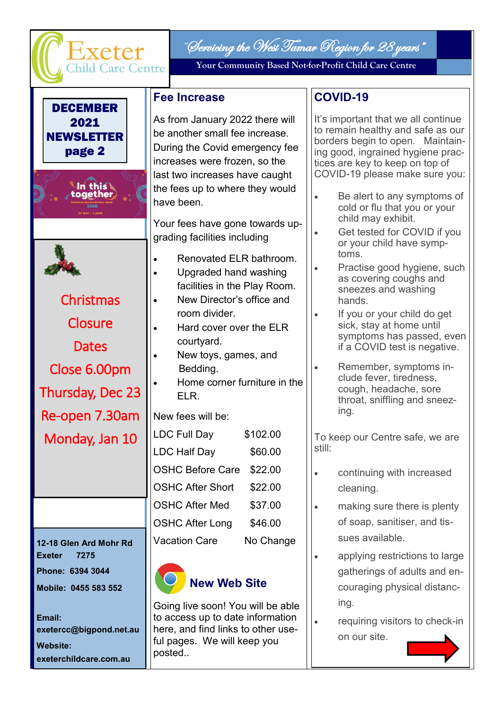

As from January 2022 there will be another small fee increase. During the Covid emergency fee increases were frozen, so the last two increases have caught the fees up to where they would have been.

Your fees have gone towards upgrading facilities including

- Renovated ELR bathroom.
- Upgraded hand washing facilities in the Play Room. New Director's office and
	- room divider.
	- Hard cover over the ELR courtyard.
	- New toys, games, and Bedding. Home corner furniture in the
		- ELR.

New fees will be:

| <b>LDC Full Day</b>     | \$102.00  |
|-------------------------|-----------|
| <b>LDC Half Day</b>     | \$60.00   |
| <b>OSHC Before Care</b> | \$22.00   |
| <b>OSHC After Short</b> | \$22.00   |
| <b>OSHC After Med</b>   | \$37.00   |
| <b>OSHC After Long</b>  | \$46.00   |
| <b>Vacation Care</b>    | No Change |

# **New Web Site**

Going live soon! You will be able to access up to date information here, and find links to other useful pages. We will keep you posted..

## **COVID-19**

It's important that we all continue to remain healthy and safe as our borders begin to open. Maintaining good, ingrained hygiene practices are key to keep on top of COVID-19 please make sure you:

- Be alert to any symptoms of cold or flu that you or your child may exhibit.
	- Get tested for COVID if you or your child have symptoms.
	- Practise good hygiene, such as covering coughs and sneezes and washing hands.
	- If you or your child do get sick, stay at home until symptoms has passed, even if a COVID test is negative.
	- Remember, symptoms include fever, tiredness, cough, headache, sore throat, sniffling and sneezing.

To keep our Centre safe, we are still:

- continuing with increased cleaning.
	- making sure there is plenty of soap, sanitiser, and tissues available.
	- applying restrictions to large gatherings of adults and encouraging physical distancing.
	- requiring visitors to check-in on our site.

**Dates** Close 6.00pm Thursday, Dec 23 Re-open 7.30am Monday, Jan 10

**Christmas** 

**Closure** 

2021 **NEWSLETTER** page 2

> .ln thiรใ together

**12-18 Glen Ard Mohr Rd Exeter 7275 Phone: 6394 3044 Mobile: 0455 583 552**

**Email: exetercc@bigpond.net.au Website: exeterchildcare.com.au**